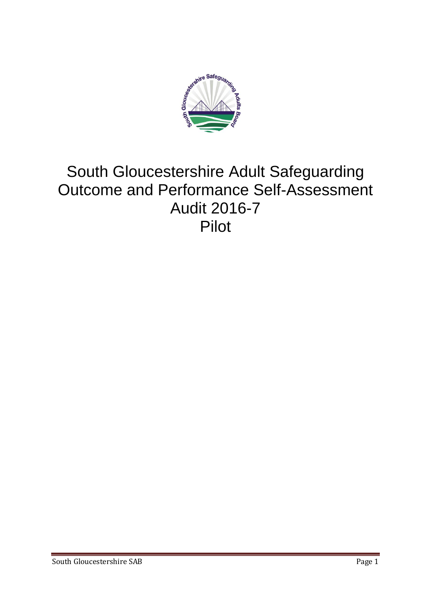

# South Gloucestershire Adult Safeguarding Outcome and Performance Self-Assessment Audit 2016-7 Pilot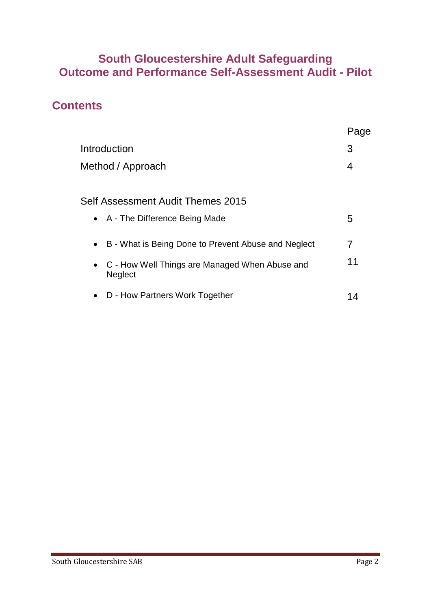### **South Gloucestershire Adult Safeguarding Outcome and Performance Self-Assessment Audit - Pilot**

### **Contents**

|                                                                    | Page |
|--------------------------------------------------------------------|------|
| Introduction                                                       | 3    |
| Method / Approach                                                  | 4    |
|                                                                    |      |
| Self Assessment Audit Themes 2015                                  |      |
| • A - The Difference Being Made                                    | 5    |
| B - What is Being Done to Prevent Abuse and Neglect                | 7    |
| • C - How Well Things are Managed When Abuse and<br><b>Neglect</b> | 11   |
| D - How Partners Work Together<br>$\bullet$                        | 14   |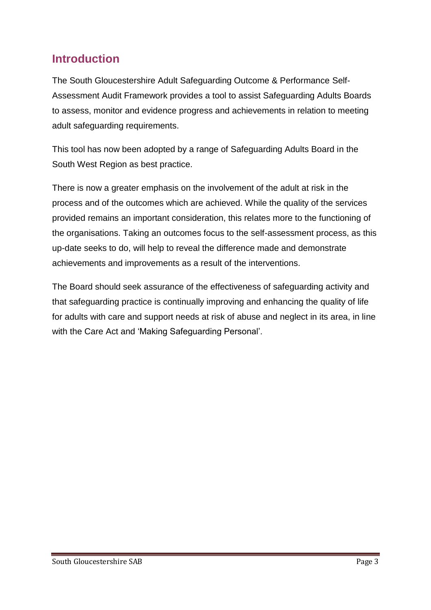# **Introduction**

The South Gloucestershire Adult Safeguarding Outcome & Performance Self-Assessment Audit Framework provides a tool to assist Safeguarding Adults Boards to assess, monitor and evidence progress and achievements in relation to meeting adult safeguarding requirements.

This tool has now been adopted by a range of Safeguarding Adults Board in the South West Region as best practice.

There is now a greater emphasis on the involvement of the adult at risk in the process and of the outcomes which are achieved. While the quality of the services provided remains an important consideration, this relates more to the functioning of the organisations. Taking an outcomes focus to the self-assessment process, as this up-date seeks to do, will help to reveal the difference made and demonstrate achievements and improvements as a result of the interventions.

The Board should seek assurance of the effectiveness of safeguarding activity and that safeguarding practice is continually improving and enhancing the quality of life for adults with care and support needs at risk of abuse and neglect in its area, in line with the Care Act and 'Making Safeguarding Personal'.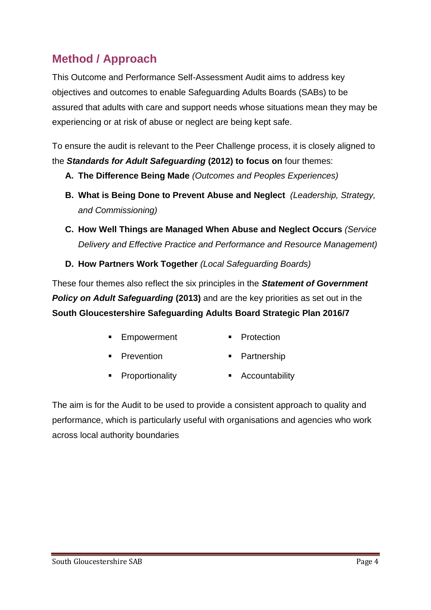# **Method / Approach**

This Outcome and Performance Self-Assessment Audit aims to address key objectives and outcomes to enable Safeguarding Adults Boards (SABs) to be assured that adults with care and support needs whose situations mean they may be experiencing or at risk of abuse or neglect are being kept safe.

To ensure the audit is relevant to the Peer Challenge process, it is closely aligned to the *Standards for Adult Safeguarding* **(2012) to focus on** four themes:

- **A. The Difference Being Made** *(Outcomes and Peoples Experiences)*
- **B. What is Being Done to Prevent Abuse and Neglect** *(Leadership, Strategy, and Commissioning)*
- **C. How Well Things are Managed When Abuse and Neglect Occurs** *(Service Delivery and Effective Practice and Performance and Resource Management)*
- **D. How Partners Work Together** *(Local Safeguarding Boards)*

These four themes also reflect the six principles in the *Statement of Government*  **Policy on Adult Safeguarding (2013)** and are the key priorities as set out in the **South Gloucestershire Safeguarding Adults Board Strategic Plan 2016/7**

- **Empowerment** Protection
- **Prevention Partnership**
- **Proportionality Accountability**

The aim is for the Audit to be used to provide a consistent approach to quality and performance, which is particularly useful with organisations and agencies who work across local authority boundaries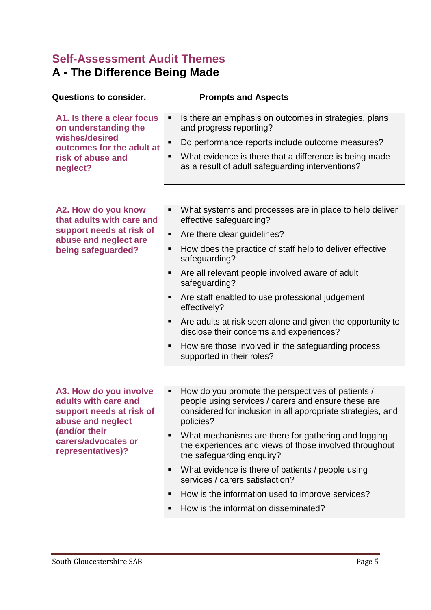# **Self-Assessment Audit Themes A - The Difference Being Made**

| <b>Questions to consider.</b>                                                                                                                                | <b>Prompts and Aspects</b>                                                                                                                                                                |
|--------------------------------------------------------------------------------------------------------------------------------------------------------------|-------------------------------------------------------------------------------------------------------------------------------------------------------------------------------------------|
| A1. Is there a clear focus<br>on understanding the<br>wishes/desired<br>outcomes for the adult at<br>risk of abuse and<br>neglect?                           | Is there an emphasis on outcomes in strategies, plans<br>٠<br>and progress reporting?                                                                                                     |
|                                                                                                                                                              | Do performance reports include outcome measures?                                                                                                                                          |
|                                                                                                                                                              | What evidence is there that a difference is being made<br>as a result of adult safeguarding interventions?                                                                                |
|                                                                                                                                                              |                                                                                                                                                                                           |
| A2. How do you know<br>that adults with care and                                                                                                             | What systems and processes are in place to help deliver<br>effective safeguarding?                                                                                                        |
| support needs at risk of<br>abuse and neglect are                                                                                                            | Are there clear guidelines?<br>п                                                                                                                                                          |
| being safeguarded?                                                                                                                                           | How does the practice of staff help to deliver effective<br>п<br>safeguarding?                                                                                                            |
|                                                                                                                                                              | Are all relevant people involved aware of adult<br>safeguarding?                                                                                                                          |
|                                                                                                                                                              | Are staff enabled to use professional judgement<br>effectively?                                                                                                                           |
|                                                                                                                                                              | Are adults at risk seen alone and given the opportunity to<br>disclose their concerns and experiences?                                                                                    |
|                                                                                                                                                              | How are those involved in the safeguarding process<br>п<br>supported in their roles?                                                                                                      |
|                                                                                                                                                              |                                                                                                                                                                                           |
| A3. How do you involve<br>adults with care and<br>support needs at risk of<br>abuse and neglect<br>(and/or their<br>carers/advocates or<br>representatives)? | How do you promote the perspectives of patients /<br>п<br>people using services / carers and ensure these are<br>considered for inclusion in all appropriate strategies, and<br>policies? |
|                                                                                                                                                              | What mechanisms are there for gathering and logging<br>$\blacksquare$<br>the experiences and views of those involved throughout<br>the safeguarding enquiry?                              |
|                                                                                                                                                              | What evidence is there of patients / people using<br>п<br>services / carers satisfaction?                                                                                                 |
|                                                                                                                                                              | How is the information used to improve services?<br>п                                                                                                                                     |
|                                                                                                                                                              | How is the information disseminated?<br>п                                                                                                                                                 |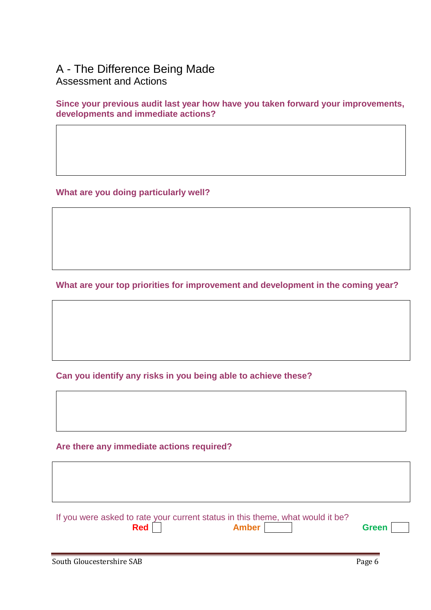### A - The Difference Being Made Assessment and Actions

**Since your previous audit last year how have you taken forward your improvements, developments and immediate actions?**

**What are you doing particularly well?**

**What are your top priorities for improvement and development in the coming year?** 

**Can you identify any risks in you being able to achieve these?**

**Are there any immediate actions required?** 

| If you were asked to rate your current status in this theme, what would it be? |              |              |
|--------------------------------------------------------------------------------|--------------|--------------|
| <b>Red</b>                                                                     | <b>Amber</b> | <b>Green</b> |
|                                                                                |              |              |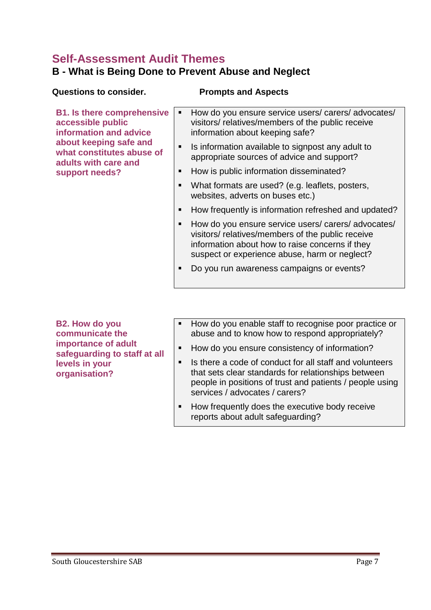### **Self-Assessment Audit Themes B - What is Being Done to Prevent Abuse and Neglect**

| <b>Questions to consider.</b>                                                                                                                                   | <b>Prompts and Aspects</b>                                                                                                                                                                                |  |
|-----------------------------------------------------------------------------------------------------------------------------------------------------------------|-----------------------------------------------------------------------------------------------------------------------------------------------------------------------------------------------------------|--|
| <b>B1. Is there comprehensive</b><br>accessible public<br>information and advice<br>about keeping safe and<br>what constitutes abuse of<br>adults with care and | How do you ensure service users/carers/advocates/<br>п<br>visitors/relatives/members of the public receive<br>information about keeping safe?                                                             |  |
|                                                                                                                                                                 | Is information available to signpost any adult to<br>п<br>appropriate sources of advice and support?                                                                                                      |  |
| support needs?                                                                                                                                                  | How is public information disseminated?<br>п                                                                                                                                                              |  |
|                                                                                                                                                                 | What formats are used? (e.g. leaflets, posters,<br>п<br>websites, adverts on buses etc.)                                                                                                                  |  |
|                                                                                                                                                                 | How frequently is information refreshed and updated?                                                                                                                                                      |  |
|                                                                                                                                                                 | How do you ensure service users/carers/advocates/<br>visitors/relatives/members of the public receive<br>information about how to raise concerns if they<br>suspect or experience abuse, harm or neglect? |  |
|                                                                                                                                                                 | Do you run awareness campaigns or events?<br>п                                                                                                                                                            |  |
|                                                                                                                                                                 |                                                                                                                                                                                                           |  |

**B2. How do you communicate the importance of adult safeguarding to staff at all levels in your organisation?** 

- How do you enable staff to recognise poor practice or abuse and to know how to respond appropriately?
- How do you ensure consistency of information?
- Is there a code of conduct for all staff and volunteers that sets clear standards for relationships between people in positions of trust and patients / people using services / advocates / carers?
- **How frequently does the executive body receive** reports about adult safeguarding?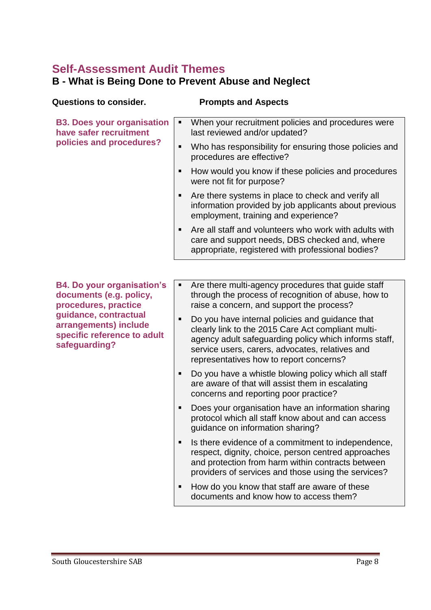### **Self-Assessment Audit Themes B - What is Being Done to Prevent Abuse and Neglect**

| <b>Questions to consider.</b>                                                                                                                                                          | <b>Prompts and Aspects</b>                                                                                                                                                                                                                                        |
|----------------------------------------------------------------------------------------------------------------------------------------------------------------------------------------|-------------------------------------------------------------------------------------------------------------------------------------------------------------------------------------------------------------------------------------------------------------------|
| <b>B3. Does your organisation</b><br>have safer recruitment                                                                                                                            | When your recruitment policies and procedures were<br>п<br>last reviewed and/or updated?                                                                                                                                                                          |
| policies and procedures?                                                                                                                                                               | Who has responsibility for ensuring those policies and<br>Ξ<br>procedures are effective?                                                                                                                                                                          |
|                                                                                                                                                                                        | How would you know if these policies and procedures<br>п<br>were not fit for purpose?                                                                                                                                                                             |
|                                                                                                                                                                                        | Are there systems in place to check and verify all<br>п<br>information provided by job applicants about previous<br>employment, training and experience?                                                                                                          |
|                                                                                                                                                                                        | Are all staff and volunteers who work with adults with<br>п<br>care and support needs, DBS checked and, where<br>appropriate, registered with professional bodies?                                                                                                |
|                                                                                                                                                                                        |                                                                                                                                                                                                                                                                   |
| <b>B4. Do your organisation's</b><br>documents (e.g. policy,<br>procedures, practice<br>guidance, contractual<br>arrangements) include<br>specific reference to adult<br>safeguarding? | Are there multi-agency procedures that guide staff<br>٠<br>through the process of recognition of abuse, how to<br>raise a concern, and support the process?                                                                                                       |
|                                                                                                                                                                                        | Do you have internal policies and guidance that<br>п<br>clearly link to the 2015 Care Act compliant multi-<br>agency adult safeguarding policy which informs staff,<br>service users, carers, advocates, relatives and<br>representatives how to report concerns? |
|                                                                                                                                                                                        | Do you have a whistle blowing policy which all staff<br>п<br>are aware of that will assist them in escalating<br>concerns and reporting poor practice?                                                                                                            |
|                                                                                                                                                                                        | Does your organisation have an information sharing<br>п<br>protocol which all staff know about and can access<br>guidance on information sharing?                                                                                                                 |
|                                                                                                                                                                                        | Is there evidence of a commitment to independence,<br>п<br>respect, dignity, choice, person centred approaches<br>and protection from harm within contracts between<br>providers of services and those using the services?                                        |
|                                                                                                                                                                                        | How do you know that staff are aware of these<br>п<br>documents and know how to access them?                                                                                                                                                                      |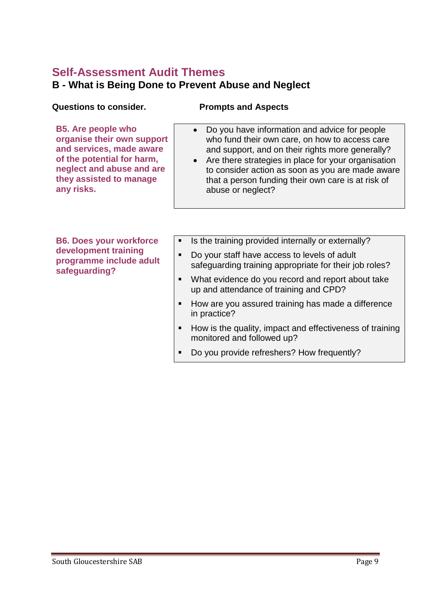### **Self-Assessment Audit Themes B - What is Being Done to Prevent Abuse and Neglect**

### **Questions to consider. Prompts and Aspects**

**B5. Are people who organise their own support and services, made aware of the potential for harm, neglect and abuse and are they assisted to manage any risks.**

- Do you have information and advice for people who fund their own care, on how to access care and support, and on their rights more generally?
- Are there strategies in place for your organisation to consider action as soon as you are made aware that a person funding their own care is at risk of abuse or neglect?

**B6. Does your workforce development training programme include adult safeguarding?**

- Is the training provided internally or externally?
- Do your staff have access to levels of adult safeguarding training appropriate for their job roles?
- What evidence do you record and report about take up and attendance of training and CPD?
- How are you assured training has made a difference in practice?
- How is the quality, impact and effectiveness of training monitored and followed up?
- Do you provide refreshers? How frequently?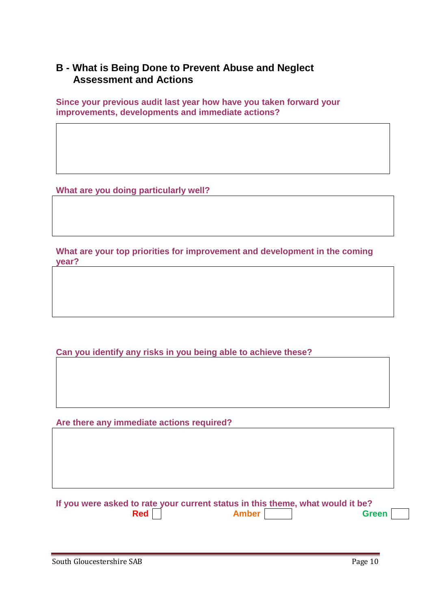### **B - What is Being Done to Prevent Abuse and Neglect Assessment and Actions**

**Since your previous audit last year how have you taken forward your improvements, developments and immediate actions?**

**What are you doing particularly well?**

**What are your top priorities for improvement and development in the coming year?** 

**Can you identify any risks in you being able to achieve these?**

**Are there any immediate actions required?** 

**If you were asked to rate your current status in this theme, what would it be? Red C Amber Amber Green**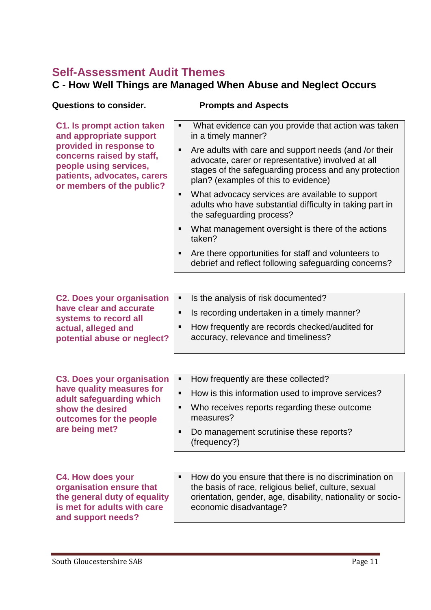# **Self-Assessment Audit Themes**

### **C - How Well Things are Managed When Abuse and Neglect Occurs**

| <b>Questions to consider.</b>                                                                                                                                          | <b>Prompts and Aspects</b>                                                                                                                                                                                        |
|------------------------------------------------------------------------------------------------------------------------------------------------------------------------|-------------------------------------------------------------------------------------------------------------------------------------------------------------------------------------------------------------------|
| C1. Is prompt action taken<br>and appropriate support<br>provided in response to<br>concerns raised by staff,<br>people using services,<br>patients, advocates, carers | What evidence can you provide that action was taken<br>٠<br>in a timely manner?                                                                                                                                   |
|                                                                                                                                                                        | Are adults with care and support needs (and /or their<br>п<br>advocate, carer or representative) involved at all<br>stages of the safeguarding process and any protection<br>plan? (examples of this to evidence) |
| or members of the public?                                                                                                                                              | What advocacy services are available to support<br>п<br>adults who have substantial difficulty in taking part in<br>the safeguarding process?                                                                     |
|                                                                                                                                                                        | What management oversight is there of the actions<br>п<br>taken?                                                                                                                                                  |
|                                                                                                                                                                        | Are there opportunities for staff and volunteers to<br>п<br>debrief and reflect following safeguarding concerns?                                                                                                  |
|                                                                                                                                                                        |                                                                                                                                                                                                                   |
| <b>C2. Does your organisation</b>                                                                                                                                      | Is the analysis of risk documented?<br>٠                                                                                                                                                                          |
| have clear and accurate                                                                                                                                                | Is recording undertaken in a timely manner?<br>п                                                                                                                                                                  |
| systems to record all<br>actual, alleged and<br>potential abuse or neglect?                                                                                            | How frequently are records checked/audited for<br>п<br>accuracy, relevance and timeliness?                                                                                                                        |
|                                                                                                                                                                        |                                                                                                                                                                                                                   |
| <b>C3. Does your organisation</b>                                                                                                                                      | How frequently are these collected?<br>٠                                                                                                                                                                          |
| have quality measures for<br>adult safeguarding which                                                                                                                  | How is this information used to improve services?<br>٠                                                                                                                                                            |
| show the desired<br>outcomes for the people                                                                                                                            | Who receives reports regarding these outcome<br>п<br>measures?                                                                                                                                                    |
| are being met?                                                                                                                                                         | Do management scrutinise these reports?<br>٠<br>(frequency?)                                                                                                                                                      |
|                                                                                                                                                                        |                                                                                                                                                                                                                   |
| <b>C4. How does your</b><br>organisation ensure that<br>the general duty of equality<br>is met for adults with care<br>and support needs?                              | How do you ensure that there is no discrimination on<br>the basis of race, religious belief, culture, sexual<br>orientation, gender, age, disability, nationality or socio-<br>economic disadvantage?             |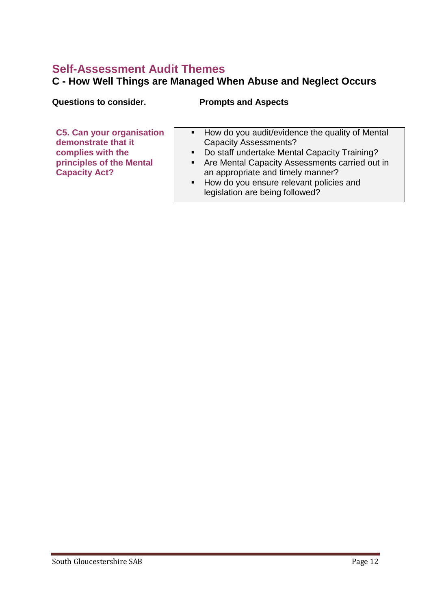# **Self-Assessment Audit Themes**

### **C - How Well Things are Managed When Abuse and Neglect Occurs**

| <b>Questions to consider.</b>                                                                                                    | <b>Prompts and Aspects</b>                                                                                                                                                                                                                                                                                                   |  |
|----------------------------------------------------------------------------------------------------------------------------------|------------------------------------------------------------------------------------------------------------------------------------------------------------------------------------------------------------------------------------------------------------------------------------------------------------------------------|--|
| <b>C5. Can your organisation</b><br>demonstrate that it<br>complies with the<br>principles of the Mental<br><b>Capacity Act?</b> | • How do you audit/evidence the quality of Mental<br><b>Capacity Assessments?</b><br>Do staff undertake Mental Capacity Training?<br>$\blacksquare$<br>• Are Mental Capacity Assessments carried out in<br>an appropriate and timely manner?<br>• How do you ensure relevant policies and<br>legislation are being followed? |  |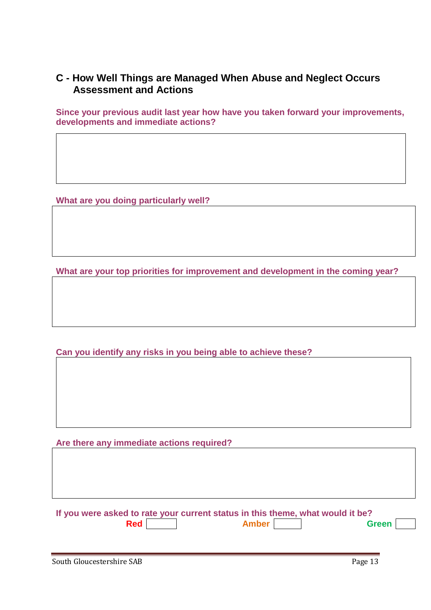### **C - How Well Things are Managed When Abuse and Neglect Occurs Assessment and Actions**

**Since your previous audit last year how have you taken forward your improvements, developments and immediate actions?**

**What are you doing particularly well?**

**What are your top priorities for improvement and development in the coming year?** 

**Can you identify any risks in you being able to achieve these?**

**Are there any immediate actions required?** 

| If you were asked to rate your current status in this theme, what would it be? |       |              |  |
|--------------------------------------------------------------------------------|-------|--------------|--|
| Red                                                                            | Amber | <b>Green</b> |  |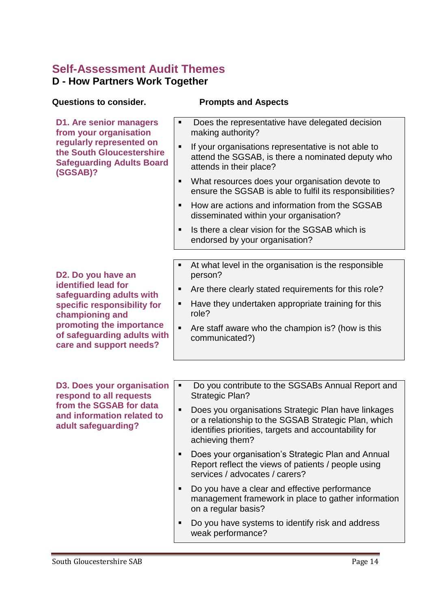# **Self-Assessment Audit Themes**

### **D - How Partners Work Together**

| <b>Questions to consider.</b>                                                                         | <b>Prompts and Aspects</b>                                                                                                                                                                   |
|-------------------------------------------------------------------------------------------------------|----------------------------------------------------------------------------------------------------------------------------------------------------------------------------------------------|
| <b>D1. Are senior managers</b><br>from your organisation                                              | Does the representative have delegated decision<br>making authority?                                                                                                                         |
| regularly represented on<br>the South Gloucestershire<br><b>Safeguarding Adults Board</b><br>(SGSAB)? | If your organisations representative is not able to<br>П<br>attend the SGSAB, is there a nominated deputy who<br>attends in their place?                                                     |
|                                                                                                       | What resources does your organisation devote to<br>п<br>ensure the SGSAB is able to fulfil its responsibilities?                                                                             |
|                                                                                                       | How are actions and information from the SGSAB<br>п<br>disseminated within your organisation?                                                                                                |
|                                                                                                       | Is there a clear vision for the SGSAB which is<br>п<br>endorsed by your organisation?                                                                                                        |
|                                                                                                       |                                                                                                                                                                                              |
| D2. Do you have an                                                                                    | At what level in the organisation is the responsible<br>п<br>person?                                                                                                                         |
| <b>identified lead for</b><br>safeguarding adults with                                                | Are there clearly stated requirements for this role?<br>п                                                                                                                                    |
| specific responsibility for<br>championing and                                                        | Have they undertaken appropriate training for this<br>п<br>role?                                                                                                                             |
| promoting the importance<br>of safeguarding adults with<br>care and support needs?                    | Are staff aware who the champion is? (how is this<br>П<br>communicated?)                                                                                                                     |
|                                                                                                       |                                                                                                                                                                                              |
| <b>D3. Does your organisation</b><br>respond to all requests                                          | Do you contribute to the SGSABs Annual Report and<br>٠<br><b>Strategic Plan?</b>                                                                                                             |
| from the SGSAB for data<br>and information related to<br>adult safeguarding?                          | Does you organisations Strategic Plan have linkages<br>п<br>or a relationship to the SGSAB Strategic Plan, which<br>identifies priorities, targets and accountability for<br>achieving them? |
|                                                                                                       | Does your organisation's Strategic Plan and Annual<br>٠<br>Report reflect the views of patients / people using<br>services / advocates / carers?                                             |
|                                                                                                       | Do you have a clear and effective performance<br>п<br>management framework in place to gather information<br>on a regular basis?                                                             |
|                                                                                                       | Do you have systems to identify risk and address<br>п<br>weak performance?                                                                                                                   |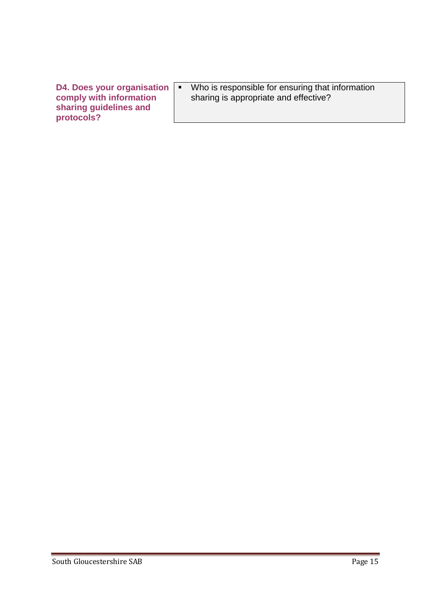**D4. Does your organisation comply with information sharing guidelines and protocols?** 

**Who is responsible for ensuring that information** sharing is appropriate and effective?